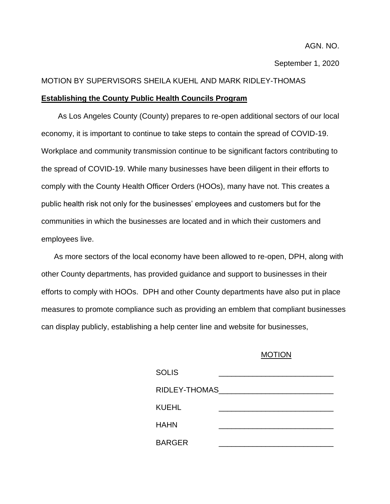September 1, 2020

## MOTION BY SUPERVISORS SHEILA KUEHL AND MARK RIDLEY-THOMAS

## **Establishing the County Public Health Councils Program**

As Los Angeles County (County) prepares to re-open additional sectors of our local economy, it is important to continue to take steps to contain the spread of COVID-19. Workplace and community transmission continue to be significant factors contributing to the spread of COVID-19. While many businesses have been diligent in their efforts to comply with the County Health Officer Orders (HOOs), many have not. This creates a public health risk not only for the businesses' employees and customers but for the communities in which the businesses are located and in which their customers and employees live.

 As more sectors of the local economy have been allowed to re-open, DPH, along with other County departments, has provided guidance and support to businesses in their efforts to comply with HOOs. DPH and other County departments have also put in place measures to promote compliance such as providing an emblem that compliant businesses can display publicly, establishing a help center line and website for businesses,

## MOTION

| <b>SOLIS</b>    |  |
|-----------------|--|
| RIDLEY-THOMAS__ |  |
| KUEHL           |  |
| <b>HAHN</b>     |  |
| <b>BARGER</b>   |  |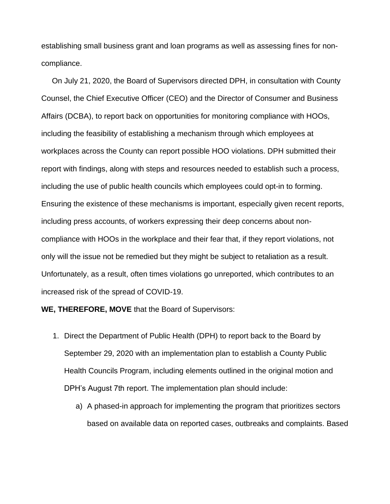establishing small business grant and loan programs as well as assessing fines for noncompliance.

 On July 21, 2020, the Board of Supervisors directed DPH, in consultation with County Counsel, the Chief Executive Officer (CEO) and the Director of Consumer and Business Affairs (DCBA), to report back on opportunities for monitoring compliance with HOOs, including the feasibility of establishing a mechanism through which employees at workplaces across the County can report possible HOO violations. DPH submitted their report with findings, along with steps and resources needed to establish such a process, including the use of public health councils which employees could opt-in to forming. Ensuring the existence of these mechanisms is important, especially given recent reports, including press accounts, of workers expressing their deep concerns about noncompliance with HOOs in the workplace and their fear that, if they report violations, not only will the issue not be remedied but they might be subject to retaliation as a result. Unfortunately, as a result, often times violations go unreported, which contributes to an increased risk of the spread of COVID-19.

**WE, THEREFORE, MOVE** that the Board of Supervisors:

- 1. Direct the Department of Public Health (DPH) to report back to the Board by September 29, 2020 with an implementation plan to establish a County Public Health Councils Program, including elements outlined in the original motion and DPH's August 7th report. The implementation plan should include:
	- a) A phased-in approach for implementing the program that prioritizes sectors based on available data on reported cases, outbreaks and complaints. Based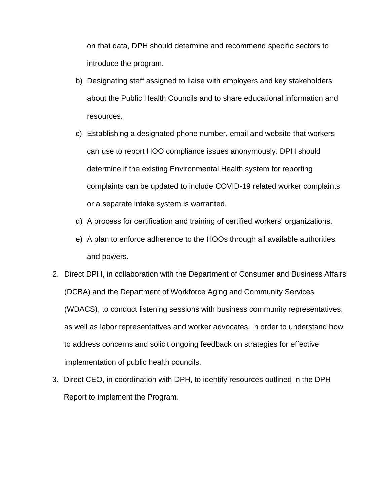on that data, DPH should determine and recommend specific sectors to introduce the program.

- b) Designating staff assigned to liaise with employers and key stakeholders about the Public Health Councils and to share educational information and resources.
- c) Establishing a designated phone number, email and website that workers can use to report HOO compliance issues anonymously. DPH should determine if the existing Environmental Health system for reporting complaints can be updated to include COVID-19 related worker complaints or a separate intake system is warranted.
- d) A process for certification and training of certified workers' organizations.
- e) A plan to enforce adherence to the HOOs through all available authorities and powers.
- 2. Direct DPH, in collaboration with the Department of Consumer and Business Affairs (DCBA) and the Department of Workforce Aging and Community Services (WDACS), to conduct listening sessions with business community representatives, as well as labor representatives and worker advocates, in order to understand how to address concerns and solicit ongoing feedback on strategies for effective implementation of public health councils.
- 3. Direct CEO, in coordination with DPH, to identify resources outlined in the DPH Report to implement the Program.